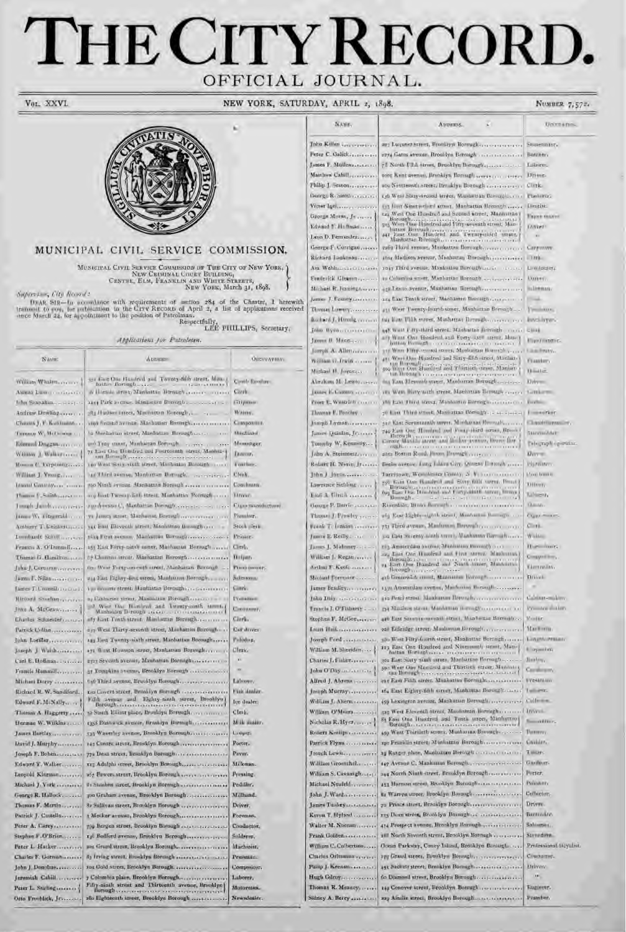# THE CITY RECORD. OFFICIAL JOURNAL.

Vol. XXVI

NEW YORK, SATURDAY,

### NUMBER 7,57%



### MUNICIPAL CIVIL SERVICE COMMISSION.

 $\begin{minipage}{.4\textwidth} \begin{minipage}{.4\textwidth} \begin{tabular}{l} \textbf{M} \textbf{u} \textbf{u} \textbf{u} \textbf{u} \textbf{u} \textbf{u} \textbf{u} \textbf{u} \textbf{u} \textbf{u} \textbf{u} \textbf{u} \textbf{u} \textbf{u} \textbf{u} \textbf{u} \textbf{u} \textbf{u} \textbf{u} \textbf{u} \textbf{u} \textbf{u} \textbf{u} \textbf{u} \textbf{u} \textbf{u} \textbf{u} \textbf{u} \textbf{u} \textbf{u}$ Supervisor, City Records

DEAR SIR-In accordance with requirements of section  $284$  of the Charter, I herewith transmit to root, for publication in the Crev Records of April 2, a list of applications received once March 24, for appointment to the Respectfully, LEE PHILLIPS, Secretary,

Applications for Patroleton.

| <b>NAME</b>                   | Apheles                                                                                                       | <b>OECUPATION</b>                |
|-------------------------------|---------------------------------------------------------------------------------------------------------------|----------------------------------|
| William Whaten                | are the One Hundred and Twenty-fifth street. Man a                                                            | Create foreships                 |
| Alonzo Luman anticorri        | Julian Borough<br>a Listinia area Mankottan Daniah aras reserves                                              | Civilis.                         |
| Libn Strangham,               | 1214 Park a cross. Manketter Berough                                                                          | Titipman.                        |
| Andraw Dowling                | 381 Hudson river, Maconton Borough,                                                                           | Waiter.                          |
| Chasins J. F. Kutchmann       | viol finand avenue. Managuar Romerich                                                                         | <b>Климаровить</b>               |
| THEMSEL W. MCDINGER           |                                                                                                               | Mississand                       |
|                               | uso Tray stater, Manhattan Gorough.<br>THE TERM IS CONT.                                                      | Messenger.                       |
| William J. Walkersson         | 71 Last One Hobsbard and Fourteenth street, Manhara                                                           | Income.                          |
| Monom C. Turpining            | on West Since right street, Manbullar Barough and a                                                           | <b>Valifier</b>                  |
| William J. Young              | as Third seems, Manbartan Barough, received                                                                   | Elerk.                           |
| Leagual Gaustraly             | nso Ninih avrima. Mankama Bonnull                                                                             | Concilinava.                     |
| Pomon E-Smithspace on         | any hast Twenty-Bah Street, Manhaltan Romeghavana                                                             | <b>Linear</b>                    |
| made Jarole, converts         | survivenue C, Manhaitan Distrugit, consensation and their                                                     | Class manufacturer.              |
| Dinner W. Titzumakholm        | TI James street: Machaust, Borough components and                                                             | Fivuler.                         |
| Anthony T. Listakering        | ALC EAST ENEVERIT METHOD MARGARET BOOMICO                                                                     | Stock list                       |
| Lounbardt Scivillage even     |                                                                                                               | Frinier.                         |
|                               | 253 East Forty-ninth sceer, Machattan Beerouth                                                                | Clerk.                           |
| Francis A. O'Demail           |                                                                                                               |                                  |
| Theme G. Elimitton.com        | fine West Fortgeometrific street, Abanhattan Boron, b.                                                        | <b>Hilpers</b><br>Plano investr. |
| Juke J. Corturally experience |                                                                                                               | cole toxu.                       |
|                               | 214 East Bighty-first street, Manhamm Borough,<br>to dominicated). Manhatan Beraghia canara                   |                                  |
| Later T. Crowell recourt      |                                                                                                               | Gilmric.                         |
| Michard Southan               | as Elitharine street, Manmating Birough a partie of the little<br>2 West the Hambook and Turnty-south streets | <b>IVallament</b>                |
| Jinn A. McGraw                | Manhains Il rough an error of                                                                                 | Company F.                       |
| Eluriek Schleiderrachen       | ally hast Finth street. Maniatran Bormeth                                                                     | Ginri.                           |
| Patrick Urlian                | ay; West Thirty-seventh street, Manhatton Borough-                                                            | Car driver.                      |
| Juhn Loenler                  | 143 Fort Twenty-sixth street, Manhattan Borough                                                               | Felodier.                        |
| Joseph J. Waishersserver      | ay: West Houston street, Manhattan Borsogh,                                                                   | Clerk.<br>¥X.                    |
| Carl E. Hollman,              | 2727 Seventh avenue, Mauhattan Bornighten recent to                                                           | $\infty$                         |
| Francis Hammill.              | 37. Foundline avenue, Brooklyn Borough                                                                        |                                  |
| <b>Michael Dirity - </b>      | the Third symme, Breeklyn Borough.                                                                            | Laborer                          |
| Richard R.W. Sandiford.       | to Envert street, Brasilyn Barnigh<br>Fulls avenue and Eighty-ninth street, Brooklyn                          | Fisk danler.                     |
| Edward F. McNally             | Florough.c                                                                                                    | fee dealer:                      |
| Thomas A. Haggerty.           | 12 South Elliott place, Brouldyn Bormalines.                                                                  | Clerk,                           |
| Herman W. Wilkins             | reed Ensuwick avenue, Branklyn Barmagharianiani                                                               | Milk malin-                      |
| James Bartlay                 | 135 Waverley avenue, Brooklyn Borough                                                                         | Cooper.                          |
| Lavot J. Murphy               | 145 Centre atrest, Breeklyn Borough                                                                           | Porter.                          |
| Joseph F. Bohens are and a    | 772 Dem street, Broaklyn Bornugh                                                                              | Paymy.                           |
| Edward T. Walker              |                                                                                                               | Milkman.                         |
| Leopold Klarman,              | and Howen street, Brooklyn Borough correspondences.                                                           | Pressing.                        |
| Michael J. Vork               | in Staabin street, Brooklyn Hormighan and continues                                                           | Peddler.                         |
| George R. Hallock.            | goo Graham avenue, Brooklyn Borough                                                                           | <b>Millhand</b> .                |
| Thomas F. Martin-             | 82 Hullivan street, Brooklyn Horsogh                                                                          | Driver.                          |
| Patrick J. Contello           | : Motker avenue, Brooklyn Borough                                                                             | Foreman.                         |
| Peter A. Larey                |                                                                                                               | Conductor.                       |
| Stephen F.O'Brian.            |                                                                                                               | Solderer.                        |
| Peter L. Hatker               | mir Grand streat, Brooklyn Borough,                                                                           | Machonist.                       |
| Charles F. Gdrnahammar        |                                                                                                               | Presunan.                        |
| John J. Donolume              | for Gold street, Brooklyn Borough.                                                                            | Compositor.                      |
| Jeremiah Cahill.              | y Columbia place, Brooklyn Borough                                                                            | Laborer.                         |
| Peter L. Stabiganco of        | Fifty-ninth strent and Thirteenth avenue, Brooklyn]<br>Horungh                                                | Motornian.                       |
| Otto Frontilick, Jr.,         | 280 Eighteenth street, Brooklyn Borough                                                                       | Newsletter.                      |

| A.AME.                                           | $\Lambda$ <sub>I</sub>                                                                                                     |
|--------------------------------------------------|----------------------------------------------------------------------------------------------------------------------------|
| <b>John Killen </b>                              | 202 Luqueer street, Broek                                                                                                  |
| Peter C. Calick                                  | 2274 Gates avenue, Brook                                                                                                   |
| James F. Müllenaar                               | 72 North Ullila treet, Brt                                                                                                 |
| Matthow Cabill                                   | toor Kent geenus, Branki                                                                                                   |
| Philip I. Seston                                 | sou Nintimenti arrest, In-                                                                                                 |
| timorgo R. Sonthanna<br>Victor Indiana           | 130 West Solly-second are<br>535 ETH Smittedird are                                                                        |
| George Muran, Jr.,                               | tay West One Hundred as                                                                                                    |
| Edward 5. Hoffman.                               | Barourh.<br>Barouth  Hardward                                                                                              |
| Leon D. Femandez,                                | hutton Beaugab<br>142 East One Hundred<br>Manbattan Beraugh                                                                |
| George FyCorrigan, receive                       | 2202 Third system, Marth                                                                                                   |
| Richard Lankinnan                                | the Madison avenue, Ma                                                                                                     |
| Am Wehlxandra Correctives<br>Emilerick Gleanmy,  | 1043 Third avenue. Monh<br>10 Columbus scout, Manh                                                                         |
| Michael R. Justifigance                          | 137 LEnisx-Ryenue, Manha                                                                                                   |
| James J. Feanoy Live                             | any Line Tenth street, Ma                                                                                                  |
| <b>Chronas Lummy, </b>                           | 131 West Twenty-Inurib.                                                                                                    |
| Rochard L'Homig cereary                          | this Mine Flith street, Mar                                                                                                |
| John Mydn<br>I gones B. Magnussen                | 448 Wast Faty-third street<br>ary Want Cine Hundred,                                                                       |
| Longali A. Alletty                               | billing Bomugh<br>115 Ware Fifty-seased sty                                                                                |
| William Vi-Pwin - - - - - -                      | an West One Hundred a                                                                                                      |
| Michael H. Joyce                                 | so Wat One Hundred                                                                                                         |
| Abraham M. Lewis,                                | ing Kan Higgwith street,                                                                                                   |
| LAXIES IN CARDINA LOTECHE                        | TEL WEST BILTY-ARTH STEE                                                                                                   |
| Peor L. Wastrich course<br>Thuonas E. Bacchev    | the East Third Street, Mr<br>20 Last Third street, May                                                                     |
| Июро Гачило                                      | ALL EAST SEVERESSIAN ANY                                                                                                   |
| James Duinlin, Travers                           | 240 East One Hondred a<br>ficouzh:<br><b><i><u>I WA EXTERNA DE LA CIA</u></i></b>                                          |
| Tunorly, W. Kennedy                              | Circole Matilda saress and<br><b>TOTAL PEACE ASSESSED FOR A ST</b>                                                         |
| Jahn A. Heinmeiz,                                | anna Bosnin Rond, Jimmy                                                                                                    |
| Robert IE Nevin Jr.                              | Deglie avenue. Linter Islan                                                                                                |
| Inha J. Hirmannia<br>Lawrence Sichling           | Tacritown, Wontfester I<br>sy. East One Honored a                                                                          |
| Eas A film in mound                              | Barsucks<br>Barought and the truth in<br>ors bough-<br>$\frac{1}{2} \left( \frac{1}{2} \right) \left( \frac{1}{2} \right)$ |
| George P. Berrie                                 | Riverdide, Brown Borrow                                                                                                    |
| Thomas J. Finwing years                          | 161 Kast Kights-aighth at                                                                                                  |
| Frank T. Linkins                                 | 751 Third avenue, Manha                                                                                                    |
| James J. Malioney.                               | no their seventy minth or<br>tis Ameterdan Skilling 31                                                                     |
| William J. Regan                                 | reg East One Humbad<br>- Barough 10<br>21 Just Oue Hundred or                                                              |
| Arthur F. Kette man.                             | Becough you a service                                                                                                      |
| Michael Formston                                 | 425 Greenwich street, Ahi                                                                                                  |
| James Bradley, a connect                         | 1330 American avenue,<br>an Dearly street. Mandato.                                                                        |
| John Disty conveniences<br>Francis I. O'Fisherty | 134 Minibon stress Manh                                                                                                    |
| Stephen F. McGee,                                | 440 EAST SANDLE-MOUNTAIL                                                                                                   |
| Louis Hitlesservesserver                         | on Elizabet Atrees, Mani                                                                                                   |
| Joseph Ford.                                     | to Wast Hity-fronth stru                                                                                                   |
| William M. Steridan,  &                          | 127 East One Hundred a                                                                                                     |
| Charles L Fisher<br>John O'Day and receiver      | son East Staty stath area.<br>59- West One Hondred a                                                                       |
| Alfred J. Abrems                                 | tax Iloningh averages<br>ang East Filth orreer, Man                                                                        |
| Joseph Mucray                                    | to East Eighty-fifth stre                                                                                                  |
| William J. Aberttissensson,                      | 459 Lexington avenue, Ma                                                                                                   |
| William O'Moura                                  | 125 West Eleventh Street,<br>St Font One Hundred at                                                                        |
| Nicholas R. Hyer.                                | Burough,                                                                                                                   |
| Robert Kenilps<br>Patrick Flym                   | 450 Waat Thirrieth street<br>me Franklin street, Manh                                                                      |
| Joseph Lewis                                     | 19 Kutzer place, Manhatt                                                                                                   |
| William Groeschekerser-                          | 147 Avenue C. Manionnae                                                                                                    |
| William S. Cavam ghangap                         | 244 North Ninth-treet, B                                                                                                   |
| Michael Neufeblesser-                            | 151 Harman street, Brook.                                                                                                  |
| John J. Wardmannson                              | Er Warryn street, Hrookly<br>70 Prince Street, Brooklyn                                                                    |
| James Tunney and accounts<br>Keron T. Hyland     | TTY Dean street, Brooklyn                                                                                                  |
| Walter M. Noonan                                 | 474 Prospect a conne, Broc                                                                                                 |
| Prank Golden                                     | 1 North Shwonth streat,                                                                                                    |
| William C. Culbertion                            | Genn Parkway, Concy Lt                                                                                                     |
| Charles Orlemann                                 | org Grand sares, Breakly                                                                                                   |
| Paine J. Keenstrommers                           | 45t Sachutt street, firmidaly                                                                                              |
| Hugh Gilmy<br>Thomas R. Meaney,                  | tio Diamond street, Brookl<br>ris Conover arest, Brook                                                                     |
| Sidney A. Berry                                  | 229 Ainslie street, Brookly                                                                                                |
|                                                  |                                                                                                                            |

| ADDINIS.                                                                                                             | United at                         |
|----------------------------------------------------------------------------------------------------------------------|-----------------------------------|
| er street, Broeklyn Boreugh                                                                                          | St nexusta                        |
| avenue, Brooklyn Barmigh                                                                                             | Butcher,                          |
|                                                                                                                      | Librario                          |
| avenue, Branklyn Bornagh aversy  syre-                                                                               | Ditect.                           |
| entiamen, Bracklyn Borough                                                                                           | Clerk                             |
| Stry-tream Myres, Manaelian Barranjassen -                                                                           | Plastin Fig.                      |
| mationistical arrest. Manhattan Hemingh                                                                              | Limitist.                         |
| be Hundred and Second street, Manhuttan<br>'n.<br>but Hundred and Fifty-seventh street, Man-                         | <b>FRIOTE HIAHOO</b>              |
| Beenwah<br>One Hundred and Iwemp-mird suset,                                                                         | Litter:                           |
| San Donaughaceconomics in chemical                                                                                   | 1991                              |
| symon, Manhoston Bernogh, personal con-                                                                              | Cargarity.                        |
| son avenue, Manhattan Bornugh                                                                                        | 777.                              |
| svenus, Montritiva Boroughaman and an                                                                                | $L$ minutes.                      |
| is street, Manbattan Borough                                                                                         | <b>LYMPHT</b>                     |
| зуение, Манданан Вотоцей                                                                                             | <b>BillWhan</b>                   |
| enth street, Manhatten Bemitth correspondent<br>I'wenty-fourth street, Manhattan Borongh                             |                                   |
| Inh steen, Manhettan Bernstein, recent recent                                                                        | Passionne.<br><b>Innes invers</b> |
| div-third street, Manhattan Britishh, carry clini-                                                                   |                                   |
| One Hundred and Forry- are street Abused                                                                             | <b>IT profit a part of a</b>      |
| Пру-зензий втора, Маеватын Вонный уулаг                                                                              | <b>Link British</b>               |
|                                                                                                                      | Francisco.                        |
|                                                                                                                      | <b>Hindler</b>                    |
| Other is a consequence of the state of the<br>lessoile street, Manhattan Bornagherreinen,                            | 37/6999                           |
| Harv with street, Manhottan Il-1981, a                                                                               | Latitude                          |
| hird street, Mantoitin Barnaghan                                                                                     | <b>Dorothi</b>                    |
| that street, Manhattan Borragh                                                                                       | Importer.                         |
| organisative avera. Montanzas Organisative and                                                                       | <b>CAROLITAN TA</b>               |
| me Hondral and Forty-third senat, Reson I                                                                            | Stamulitier                       |
| that here and it for reduce book for<br><br>$1 - 1 - 1$                                                              | Disputpli operator.               |
|                                                                                                                      | Divent                            |
| ore. Inter Island City, Conent Directely                                                                             | <b>Pipelinery</b>                 |
| $\mathcal{L}$ Wentificated Foundation $\mathcal{L}$ (V) is a construction                                            | Mora france.                      |
| to Buniell and Stry 800 vers. Prof.<br>the Hundred and Europainth American Hundred                                   | Different                         |
| п.<br>1.1 at 1.1 at 1.1 at 1.1 at 1.1 at 1.1 at 1.1 at 1.1 at 1.1 at 1.1 at 1.1 at 1.1 at 1.1 at 1.1 at 1.1 at 1.1 a | <b>MERG</b>                       |
|                                                                                                                      | Literature.                       |
| aghts-sightly street, Mantarius Bermings                                                                             | Cup man                           |
| гурция, Манинский Поторийский соответству                                                                            | $C = 12$                          |
| cresy ainth very to Manhavine Barroch core-                                                                          | Wolfe-                            |
| rdam awarma, afunisasan turmagh o com<br>me Hundred and First street. Manuscritis                                    | Hur more.                         |
| ne Bunderd out Track Aircer, Manhoisen                                                                               | Compatibos,                       |
| Witnesser, present the fact of                                                                                       | Limmus Day.                       |
| Geb street, Mannester Borough                                                                                        | <b>Tiribull</b>                   |
| rdan svenor, Machettor Ilorough                                                                                      | Californ-million.                 |
| tress. Mandonum Diversity concerning con-<br>matrial Manhaman Hornstfreezers er har                                  | President and large               |
| astronomenti struct, Minhattic Bormaton,                                                                             | Moder-                            |
| EE ALPERT, Machattan De Fought                                                                                       | Marketin                          |
| itty-korth street, Manhattar Bomugh                                                                                  | <b>Linesto Pressure</b>           |
| me Hundred and Ningmont-street, Man-1                                                                                | in organizing.                    |
| Berlinghammer processives commission of<br>aty statk street, Monitative Borough                                      | Hardow,                           |
| ine Hondred and Thartiets street Munici-<br><b>IMPLY A PERSONAL PROPERTY AND A RELEASED</b>                          | Castalutanev                      |
| ith erreer, Munhattan Borningham reserves.                                                                           | <b>Mresamany</b>                  |
| ighty-fifth street, Manhattan Burongh                                                                                | United States                     |
| на аулин, Манванан Богош!                                                                                            | Culmme.                           |
| leventh street, Maubatran Borough                                                                                    | <b>Invest</b>                     |
| is Hundred and Touth sizes, Manhatt of<br>Lv.<br><b>FAR RYE.</b><br>$1 - 1 + 1$                                      | Second Birch                      |
| Dirtierh street, Manhatum Berought                                                                                   | <b>DESIGNATI</b>                  |
| in street Manbattan Barough                                                                                          | Califor.                          |
| place, Manization Borough                                                                                            | T Hitty.                          |
| C. Manhattan Burmighter reserves and the                                                                             | Gardner-                          |
| Ninth-treet, Brooklyn Berough                                                                                        | Perter.                           |
| n street, Brooklyn Borough                                                                                           | Polaidunty                        |
| street, Hrooklyn Hormight                                                                                            | Collectors.                       |
| trest, Brooklyn Borough                                                                                              | Driver.                           |
| rees, Brooklyn Borough                                                                                               | Bartrailee.                       |
| I avenue, Brooklyn Hornugh                                                                                           | Salmanau.                         |
| Shwinth streat, Brooklyn Bormugh                                                                                     | SUITAGOTA.                        |
| estry, Concy Island, Brooklyn Baraugh                                                                                | Professional trey dist            |
| steet, Brooklyn Romagh, arreservered and                                                                             | Countere,                         |
| street, Branklyn Bornigh<br>I street, Brooklyn Borough                                                               | <b>Uriver</b><br>$\mathbf{u}$     |
| r street, Brooklyn Borough                                                                                           | Eugineer.                         |
| street, Brooklyn Boroughton and researched                                                                           | Tumber.                           |
|                                                                                                                      |                                   |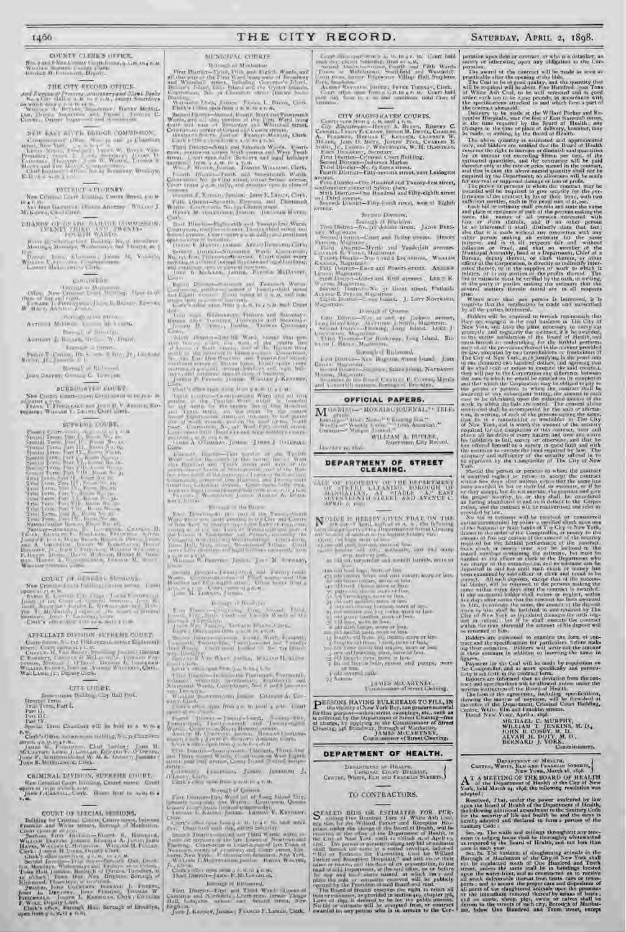### 1466

### COUNTY CLERK'S OFFICE. No. 7 ani i Nos Cesso Cambiona, a Satang nat<br>Washin Samua a sang Causa<br>Geolog It Fournam, Deputy

### THE CITY RECORD OFFICE.

 $A_{\rm HI}$  if a grain of Personal concentrational interaction is a second of the second concentration of the second concentration of the second concentration of the second concentration of the second concentration of the se

NEW EAST BIYTH BETOGE COMMISSION. 

### DISTRICT VELORNEY

New Criminal Clare J. 2004, Control Brent, 4 to 8  $\frac{10.4~\mathrm{F}/M_{\odot}}{3.85~\mathrm{Jpc}}$  Vita Warrentown (1958)<br>10 An estasy ("Warran J. Malicowa, Cassa)<br>Carrier

 $\mu_{\rm{max}}$   $_{U_{1}}$  , the<br>reactions. Bothing,  $N_{\rm{max}}$  , the direct  $M_{\rm{max}}$  ,<br> $M_{\rm{max}}$  ,  $M_{\rm{max}}$  ,  $N_{\rm{max}}$  ,<br>  $N_{\rm{max}}$ 

 $\begin{tabular}{l|c|c|c|c|c|c|c|c} \hline $0_{\rm F}^{\rm max}$ & 2\,mm, $0_{\rm F}$ & 0_{\rm F}$ & 0_{\rm F}$ & 0_{\rm F}$ & 0_{\rm F}$ & 0_{\rm F}$ & 0_{\rm F}$ & 0_{\rm F}$ & 0_{\rm F}$ \\ \hline $0_{\rm F}^{\rm max}$ & 0_{\rm F}$ & 0_{\rm F}$ & 0_{\rm F}$ & 0_{\rm F}$ & 0_{\rm F}$ & 0_{\rm F}$ & 0_{\rm F}$ & 0_{\rm F}$ & 0_{\rm F}$ & 0_{\rm F}$ & 0_{\rm F$ 

### gunnitie-

 $\begin{tabular}{c} \multicolumn{2}{c}{\textbf{Orr} of the number of Magnations} \\ \multicolumn{2}{c}{\textbf{Orr} of the Mnonlim of the number of Mnonlim of the number of Mnonlim of the number of Mnonlim of the number of Mnonlim of the number of Mnonlim of the number of Mnonlim of the number of Mnonlim of the number of Mnonlim of the number of Mnonlim of the number of Mnonlim of the number of Mnonlim of the number of Mnonlim of the number of Mnonlim of the number of Mnonlim of the number of Mnonlim of the number of Mnonlim of the number of Mnonlim of the number of Mnonlim of the number of Mnonlim of the number of Mnonlim of the number of Mnonlim of the number of Mnonlim of the number of Mnonlim of the number of M$ 

- Provided at the Miller. Astrona Monteus Annula Millionita.

Here all of Brooklyn. Accuser & Illinois, Orlin, W. Drawl.

formar - O Trener  $\mbox{Poisson}(T)$  .<br>Unitary  $H(x)$  is close in . In the  $\{x_j\}$  is<br>a fixed by  $\{x_i\}$  is a fixed by  $\{x_i\}$  in<br>contrast in . If

Herealy of Richmond Joan Beaven, Grossey C. Temper.

scessmarts could

New Control Courses are known means to pray the County & Chemical and John U. V. Anno 13, San<br>Frank, William V. Libany, Chief Garth.

### SUPERAL COUNTS

 $\begin{tabular}{|c|c|c|c|} \hline & \multicolumn{1}{|c|}{3.79\text{ GeV}} & \multicolumn{1}{|c|}{5.79\text{ GeV}} \\ \hline 5.79\text{ GeV} & \multicolumn{1}{|c|}{1.79\text{ GeV}} & \multicolumn{1}{|c|}{1.79\text{ GeV}} & \multicolumn{1}{|c|}{5.79\text{ GeV}} \\ \hline 5.79\text{ GeV} & \multicolumn{1}{|c|}{1.79\text{ GeV}} & \multicolumn{1}{|c|}{1.79\text{ GeV}} & \multicolumn{1}{|c|}{1.79\$ 

WILLIAM 1 **HIMBUX SYNTAY** 

### COURT IN MENTRO SECTION

ņ.

### APPELLATE DIVISION, SUPREME COURT.

### CITE COLET.

Descreens Deliber, Or Hall Prob.<br>General Term<br>Trail Term, Part I.<br>Part II.<br>Two Hit.<br>Special Term (Permitter of the hold as a

Special Term Chartlers will be fold to a W/re-P. Clerk's Office, holomonical building, h - p. Clerk's or

attent as the Party at the Chief Jacobsey Jacob H. McLaurent Assembly, Chief Jacobsey, Chief and McLaurent Assembly, Chief and Party and Party and Party and Party and Party and Party and Party and Party and Party and Part

CRIMINAL DIVISION, SUPREME COURT, Nam Grimmal Carry Building, Crocer Street, Crocer<br>agencies in man white Angel Crocer Street in the Auto Crocer<br>Posts, Canadian Croce, Groen front to wate to a

### COUNT OF EFRIAL BESIDES.

**MANGIONAL COURTS** Dictionarie al Michaelan First Discrete Plant Ward Poster Wash, and all computer of the Plant Ward Poster of Hensiboty<br>and Wardball agrees, including Computer Flant, Belleville, United and the Operator's Blant<br>Belleville, Belleville, Plant and the

crossed F. Roman, Jenier, Jean E. Lynca, Cork,

 $\gamma$  and  $D[\alpha\alpha\alpha\alpha\beta\gamma\delta\gamma\gamma\alpha\beta]$  . Hence, and Thiermann  $\eta$  and  $\alpha$  and  $\alpha$  is a continuous from the character of the continuous of the continuous continuous

**Contracts for California and Leading Mark Contracts for the Contracts of Leading Americans**<br>Contracts for the contracts in Additional problems of the contracts of the contracts of the Contracts of the Contracts of the Con

 $\begin{tabular}{l|cccccc|} \hline Section 1 & (mix)=1\&mix=1\&mix=1\&mix=1\&mix=1\&mix=1\&mix=1\&mix=1\&mix=1\&mix=1\&mix=1\&mix=1\&mix=1\&mix=1\&mix=1\&mix=1\&mix=1\&mix=1\&mix=1\&mix=1\&mix=1\&mix=1\&mix=1\&mix=1\&mix=1\&mix=1\&mix=1\&mix=1\&mix=1\&mix=1\&mix=1\&mix=1\&mix=1\&mix$ 

 $1 - 11$ 

An other continues open Press products, to a restrict for North Electric

 $\frac{1}{1}$  and  $\frac{1}{1}$  . The contract of the state of the state of the  $\frac{1}{1}$  ,  $\frac{1}{1}$  ,  $\frac{1}{1}$  ,  $\frac{1}{1}$  ,  $\frac{1}{1}$  ,  $\frac{1}{1}$  ,  $\frac{1}{1}$  ,  $\frac{1}{1}$  ,  $\frac{1}{1}$  ,  $\frac{1}{1}$  ,  $\frac{1}{1}$  ,  $\frac{1}{1}$  ,  $\frac{1$ Winds awarder-loss file Wards, homes that gen-

that's one quotation from pack. to a trat-

These A Channel, January Janes J. Company

### -Thomas of the Roman

 $\begin{picture}(180,10) \put(0,0){\vector(1,0){100}} \put(10,0){\vector(1,0){100}} \put(10,0){\vector(1,0){100}} \put(10,0){\vector(1,0){100}} \put(10,0){\vector(1,0){100}} \put(10,0){\vector(1,0){100}} \put(10,0){\vector(1,0){100}} \put(10,0){\vector(1,0){100}} \put(10,0){\vector(1,0){100}} \put(10,0){\vector(1,0){100}} \put(10,0){\vector(1,0){100}}$ WILLIAM W. PROPERTY JOHN . JOHN M. STEWART,

Decoupt of Brickshire 

1996, Daniel Jacobyzonto, Thirdell, Third and<br>2003, Third Wash, Carolina of Wash Lighth

ину<br>Кайтана (увайшана Данако Данаком Л.<br>Сите}кана при Дина узоблежувано  $n00$ 

**Morestlef Queene** 

The Discovering Ward of Long Direct Lines.<br> With the Ward Lines on Queen.<br> The said Lines. James Thomas P. Known.

Chain Charles after the company for the line of the bank many charges of the line of the company of the company of the company of the company of the company of the company of the company of the company of the company of th

Section Diraction and and Diraction of the second state of the second state of the second state of the second state of the second state of the second state of the second state of the second state of the second state of th

There is the new own a function of the

Birmush of Michaeond,

First Discrete Library and Section 1, 1980, 1980, 1980, 1980, 1980, 1980, 1980, 1980, 1980, 1980, 1980, 1980, 1980, 1980, 1980, 1980, 1980, 1980, 1980, 1980, 1980, 1980, 1980, 1980, 1980, 1980, 1980, 1980, 1980, 1980, 198

 $\lambda$  and detection of the state in the state of the state in the state of the state of the state of the state of the state in the state of the state of the state of the state of the state of the state of the state of the

SATURDAY, APRIL 2, 1898.

poration upon dela or contrast, or who is a definitive, as<br>sarely or adherwise, upon any obligation to the Car-<br>poration.

section.<br>
The award of the functional point of the state of the pressions.<br>
The Coal is the pressing of the big and the grantite of<br>the transfer pressing of the pressing of the coal is the space of the<br>
The Coal is a short

changes in the time or place of delivery, however, may<br>be onder in the time or place of delivery, however, may<br>be onder to serving by the flowith of Hemith and the<br>resonanting is estimated and approximated only, and bilde

gree. Where more than one person is interested, it is<br>required that the varification be made and subscribed<br>by all the parties interested.

requires that the variation is made and a<br>simulated by inflictional transitional that they are variated to required to turnish rection<br>point that the contrast of the contrast of the city at property and regularly the cont

should the person or persons to whom the contract

Finally, the person is provided by the samples of the sample of the sample of the sample of the sample of the sample of the sample of the sample of the sample of the sample of the sample of the sample of the sample of the

Bidders are randomed to examine the form of gen-<br>tract and the specifications for particulars before making their extensions. Bidders will write out the amount<br>of their estimates. Bidders will write out the amount formers.

is the comparison of the Department Comparison of the Cambridge and the comparison of the Cambridge and the comparison with the comparison will be made that particular the comparison will be compared that on deviation from

CERTIS, WHITS, ELE AND I RABELES SYSTEMS,  $A^T$  A METTING OF THE HOARD OF HEALTH  $A^T$  of the Department of Highland OP HEALTH York, held March 24, (696, the tollowing resolution was

adupted ;

Resolved, That, ander the power conferred by law<br>mon the Board of Health of the Department of Health,<br>the following undifferent and the members of the same of<br>for the accurring of life and leadth be and the same of<br>bericly

beauty and secured to some percurian to the bandward context of the samiling Code :<br>
Sec. sp. The walls and asilings throughly whenever men to determine the state of the Baard of Baard, and not bear than time increments i

DEPAPTMENT OF HEALTH, SYNCETS,

THE CITY RECORD.

### CITY MAGISTRATES COURTS.

Content MAGISTICATES COURTS,<br>
Content in the Magistra All and All and All and All and All and All and All and Content Content<br>
Content All and All and All and All and All and All and All and All and Content<br>
All and Jons C

avenue. Fills District .- Do- Humbred and Twenty-first street, otherstern corner of Sylvan place.<br>Stark District—One Hundred and Filty-eighth street

and Third avenue.<br>Seventh Descript-Fifty-fourth arrow, west of Eighth avenue

### Sussice Division,

Мадикран-**Homas of Queens** 

### **Abrough of Birliniand,**

Les Division New Highlian Area Joand, Jane<br>Grown Macorino<br>Samuel Division State by State (should Newtown)  $\mathbf{M}$  ,  $\mathbf{M}$  ,  $\mathbf{M}$  ,  $\mathbf{M}$  ,  $\mathbf{M}$  ,  $\mathbf{M}$  ,  $\mathbf{M}$  ,  $\mathbf{M}$  ,  $\mathbf{M}$  ,  $\mathbf{M}$  ,  $\mathbf{M}$  ,  $\mathbf{M}$  ,  $\mathbf{M}$  ,  $\mathbf{M}$  ,  $\mathbf{M}$  ,  $\mathbf{M}$  ,  $\mathbf{M}$  ,  $\mathbf{M}$  ,  $\mathbf{M}$  ,  $\mathbf{M}$  ,

### OFFICIAL PAPERS.

MORNIKO-MORNINGJOURNAL," ERLE-VI press that Normally County Science<br>Westly - Warrier County County Science<br>Common - Margar Journal O

WILLIAM A BUTLER, Supervisor Cay Reveal, **Javiany so, that** 

# DEPARTMENT OF STREET<br>CLEANING.

 $\begin{tabular}{c|c|c|c|c} \hline \textit{SAG} & \textit{or} & \textit{pog} & \textit{pog} & \textit{pog} & \textit{pog} & \textit{pog} & \textit{pog} & \textit{pog} \\ \hline \textit{or} & \textit{cog} & \textit{cog} & \textit{cog} & \textit{cog} & \textit{cog} & \textit{cog} \\ \hline \textit{cog} & \textit{cog} & \textit{cog} & \textit{cog} & \textit{cog} & \textit{cog} & \textit{cog} \\ \hline \textit{cog} & \text$  $0.11 - 0.25 - 0.1$ 

 $\begin{array}{l} \mathbf{N} \stackrel{\mbox{\scriptsize{CUCU}}}{\longrightarrow} \mathbf{N} \stackrel{\mbox{\scriptsize{CUCU}}}{\longrightarrow} \mathbf{N} \stackrel{\mbox{\scriptsize{CUCU}}}{\longrightarrow} \mathbf{N} \stackrel{\mbox{\scriptsize{CUCU}}}{\longrightarrow} \mathbf{N} \stackrel{\mbox{\scriptsize{CUCU}}}{\longrightarrow} \mathbf{N} \stackrel{\mbox{\scriptsize{CUCU}}}{\longrightarrow} \mathbf{N} \stackrel{\mbox{\scriptsize{CUCU}}}{\longrightarrow} \mathbf{N} \stackrel{\mbox{\scriptsize{CUCU}}}{\longrightarrow} \mathbf{N} \stackrel{\mbox{\scriptsize{CUCU}}}{$ 

as via on very mile and countil turnite, more or 

 $14 \, \mathrm{WES}$  McCARTNLV,  $\mathbb{L}$  and since of Struct Liming.

 $\begin{tabular}{l|c|c|c|c|c} \hline \textbf{PE} (USONS) HAVINGB WILKHEADS TO PILL, IN the vicinity of New York Bay, can preserve material for the input, etc., such as the following case, we consider the following problem. For example, by applying its the Commassoner of Street Chemistry,  $M_{\rm P} \equiv 10000 \, {\rm spc}^{-1} \, {\rm Gyr}^{-1} \, {\rm Gyr}^{-1} \, {\rm Gyr}^{-1} \, {\rm Gyr}^{-1} \, {\rm Gyr}^{-1} \, {\rm Gyr}^{-1} \, {\rm Gyr}^{-1} \, {\rm Gyr}^{-1} \, {\rm Gyr}^{-1} \, {\rm Gyr}^{-1} \,$$ 

DEPARTMENT OF HEALTH.

DENATREST OF HEALTH,<br>CENTRE, WHITE, EXAMPLE ENGINEER, N.

TO CONTRACTORS.

 $\mathbf{S}^{\text{T} \text{ A L EID}}$  Education 148 ESTIMATES TOR FITE-<br>and the function of the Hamilton Tour and Keneptian Hamilton Hamilton and the<br>sequence of the state of the fitter of the linear distribution of<br>the process at the ef

te leat.<br>2. barsas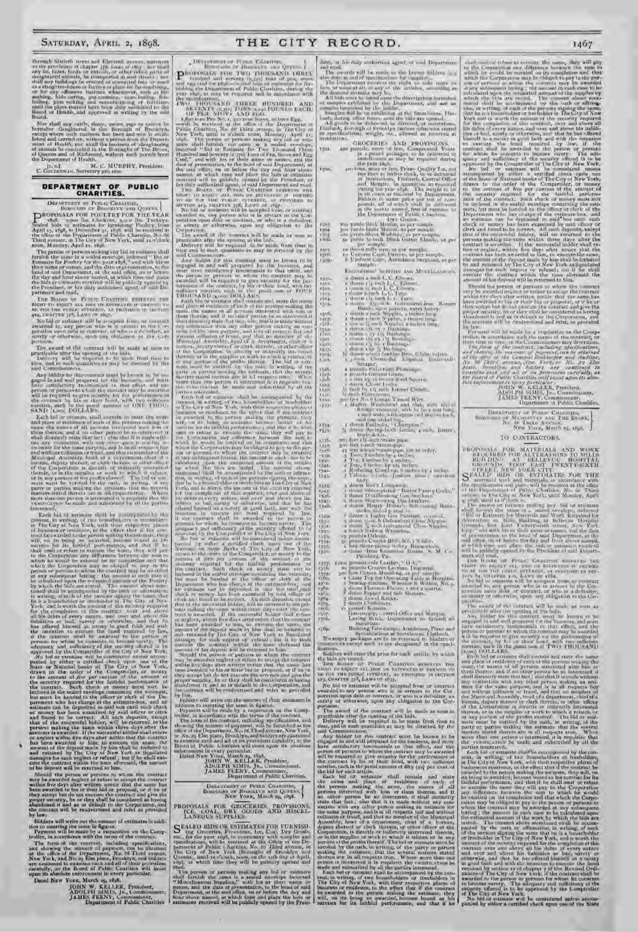Decouple Statistic areas and Eleventh ayers<br>in the model of the province of chapter  $M\bar{n}$ , hence of the<br> $j$  can show that any fat, hides, heads or extracting<br>or collect relucing parts of show that any fat, hides, heads

Board, Mr rical cary cattle, sheen, sweet, pass on raises he because there also<br>general in the Bayangh of Broadyn, except where anch maximum is obtained<br>because there are a substitute to be a maximum in order to prove<br>the

L. S.J. M. C. MURPHV, President,

# DEPARTMENT OF PUBLIC<br>CHARITIES.

**CHARITIES.**<br> **CHARITIES.**<br> **CHARITIES.**<br> **CHARITIES.**<br> **CONSTRATION OF BIOGENTS and CHARITIES.**<br> **CONSTRATION CONDUCT AND FOR THE VEAR**<br> **CARITION CONDUCT** AS TO CONSULT AND FOR THE VEAR<br>
April 15, 1898, v. Discussions i

partment and read.<br>
The Hosten or Proute University of the Richard Tin<br>
RIGHT TO REGINE THE PERSON OF DEPARTMENT IN THE THE THE THE REAL INTERCTS. AS PROVINCE IN THE THE THE THE STATE OF THE THE STATE OF THE THE STATE OF T

No find or estimate will be accepted from an enditorial meanded in, any person who is in expansion to the low-partition product or parameters of order and the low-partition of the state of the state of the state of the st

The award of the contract will be made as more as<br>rand-able after the apening of the bids. Include the required to the index<br>the most like required to the made from time to me, and m such quantities as may be directed by t bin time, Con

suid Commissioners, this contract must be brown to be under<br>grad in and well proported for the brotoners, and must<br>proport in and well proported for the brotoners, and must<br>present as the commission to their refers and the

success, and to the particle and the moment of GNI THOUSARY, and to the first Each and the moment of the particle and the particle and the same the moment of the moment of the moment of the moment of the moment of the mom

matchmatch probability the match and the constraints of the properties that the properties and the constraints of the properties of the property of the based of the constraints of the based of the constraints of the const and retained by The City of New York as liquidated<br>damages for such region or refized, but if he shall excerce the contrast widdle the top adversard, the amount<br>of his deposit will be returned to him.

or fin deposit will be refurrated to him.<br>
Should the person or persons to whim the emitted<br>
new be awarded log-letter refuse to accept the construct<br>
multip five days after written notice that the same has<br>
been swarted

budders will write out the amount of estimates in addition to meeting the same by a guess,<br>Hapmant will be made by a requestion on the Complete training the main by a requestion on the Completeler,

The form of the contract, including specifications,<br>and showing the moment of payment, can be obtained as<br>and showing the moment of payment, can be obtained as<br> $\Delta t$  the office of the Department, Ne, as if Third vening a<br>

JOHN W. KELLER, President,<br>ADOLPH MMIN, JR. Commissioner,<br>JAMES FEENY, Commissioner,<br>Department of Public Charities

- DECAPDENT OF PUBLICAYS AND QUEST-PERSONALS FIRE TWO THUESAND LIBERT

**P** Extraction of Fundative data Querta ( $\mathbf{r}$  is the set of the set of the set of the set of the set of the set of the set of the set of the set of the set of the set of the set of the set of the set of the set of the

The<br>simulation of the time parallel in the disk. The parallel internal case<br>of the time and internal case and for the case of the simulation of the simulation of<br> $\alpha$  and the simulation of the simulation of the simulation National or easier Banks of Tie City of New York, then<br>you is the comparable of the Comparable of the Comparable of the sensitive<br> $\tau$  and an example of the comparable of the sensitive<br> $\tau$  and the contribute of the sensi

performant in and as in default to measure the contract of the contract will be readvertised and trief as provided by low. Fulders will write our the same in and<br>interval in figure . The same in and<br>perform to instant the

DELARTMENT OF PEGLIC CHARITIES, DIGIOUSLY AND QUEENS, New Young, March 29, 1898.

PROPOSALS FOR GROCERIES, PROVISIONS, ICE, COAL, DRY GOODS AND MISCRILLANEOUS SUPPLIES.

C EALED HIDS OR ESTIMATES FOR FURNISH.<br>
O. for Greenries, Provisions, Ize, Coal, Dry Greek, the figs. The past regis, in connective with a sophistical<br>
specifications, will be received at the Office of the Particular posi

read.<br>The person or person making any hol or estimate that formish the same in a scaled envelope induced<br>with formish the same in a scaled envelope induced "Miscellaneous Supplies," with the art their name or<br>names, and t

dent, or his duly authorized agent, of and Department

THE CITY RECORD.

 $1704$ <br> $1504$ 

 $1300x$ 

1811)<br>1811)<br>1919:<br>1916:<br>1916:

 $\begin{array}{l} \text{erg}\, \text{e} \text{g}, \\ 11111 \\ 13121 \\ 131411 \\ 11111 \\ 11111 \\ 11111 \\ 11111 \\ 11111 \\ 11111 \\ 11111 \\ 11111 \\ 11111 \\ 11111 \\ 11111 \\ 11111 \\ 11111 \\ 11111 \\ 11111 \\ 11111 \\ 11111 \\ 11111 \\ 11111 \\ 11111 \\ 11111 \\ 11111 \\ 11111 \\ 11111 \\ 11111$ 

1573)<br>1643-<br>1878)<br>1845)

х 5 айс<br>х 1 м у -<br>х 3 м у -<br>х 5 м у -<br>х π 8 м ,<br>х п 8 м ,

**Likin** 

 $135$ 

1336.  $\frac{1+37}{1+30}$ 5.19-

 $(511)$ isan<br>Isan

154%<br>154% 45400 نږي<br>عدوا **STER** 1351. ryati<br>Utili

1352)<br>1366 精神<br>現在<br>1953年

and each can be unproduced agent, as an inspection<br>in the condition of the layers in the case of the standard function for any<br>all the condition of the condition of the state of the state of<br>the state of the decound decre ит зресивент<br>institutions.

rmix. igm.

colonitous, weight, our allowed and vertexed at<br> $0$ itentions), weight, our allowed an reversed at<br> $0$ itents.<br> $0$ itents and  $\mu$  is a streamed and  $\mu$  in proximity and  $\mu$  is a real parameter in<br> $\mu$  is a real parameter

 $\label{eq:constr} \begin{split} & \text{sample} \\ & \text{Excess}(\text{sum}) \leq \text{Sversus} \text{ and } \text{M}(\text{min}(\text{sum}), \text{sum}(\text{sum}), \text{sum}(\text{sum}), \text{sum}(\text{sum}), \text{sum}(\text{sum}), \text{sum}(\text{sum}), \text{sum}(\text{sum}), \text{sum}(\text{sum}), \text{sum}(\text{sum}), \text{sum}(\text{sum}), \text{sum}(\text{sum}), \text{sum}(\text{sum}), \text{sum}(\text{sum}), \text{sum}(\text{sum}), \text{sum}(\text{sum}), \text{sum}(\text{sum}), \text{sum}(\text{$ 

For the same state of the same state of the same state of the same state of the same state of the same state of the same state of the same state of the same state of the same state of the same state of the same state of t

1511)<br>1341-<br>1342-

art.

Patrimos, Pa<br/>.<br> Patrimos, Patrimos, Patrimos, Patrimos, Patrimos, Patrimos, Patrimos, Patrimos, Patrimos, Patrimos, Patrimos, Patrimos, Patrimos, Patrimos, Patrimos, Patrimos, Patrimos, Patrimos, Patrimos, Patrimos, P Mile.<br>Mole

materials.<br>
169. – Bolding Fot-scorpe, Atmilensen, Plan- and<br>
No empty parliament in the conditions at incidence. Pathwell,<br>
No empty parliament of the representation in higher or<br>
control is except such as are the space i fications.<br>Bidders will state the price for each article, by which

Reducer will the first condition of the basic of the basic of the condition of the state of the state of the state of the state of the state of the state of the state of the state of the state of the state of the state of

No bid or existance will be accepted from ar contract<br>awarded to any person which is accepted from art to the Cor<br>paration upon debt ar denotract, or who is a definitely as<br>surely or otherwise, upon any obligation to the C

consists of the Eosimon and 1 in arrival is the Eosimon of the constraint and the constraint of the constraint of the constraint of the constraint of the constraint of the constraint of the constraints of the constraints

1497)<br>The dual cost is collected to exceed<br>a fit some, they will perform the Comparison on the content any difference between the<br>symphons of the signal content of the content and different and in<br>the signal content of th

1467

exercise the contract within the terms afternal disc contract this depends will be returned to thus, then the contract of the angle of the angle of the contract of the angle of the contract of the contract beam awithin an

 $\begin{tabular}{l|c|c|c|c|c} \hline \textbf{DAMMIMIST} & \textbf{DAMIST} & \textbf{DAMIST} & \textbf{DAMIST} \\ \hline \textbf{MOMIST} & \textbf{MOMIST} & \textbf{MOMIST} & \textbf{MOMIST} \\ \hline \textbf{MOMI} & \textbf{MOMI} & \textbf{MOMI} & \textbf{MOMI} \\ \hline \textbf{MUMI} & \textbf{MOMI} & \textbf{MOMI} & \textbf{0}_{21} & \textbf{0}_{22} \\ \hline \end{tabular}$ 

TO CONTRACTORS.

To CONTRACTORS.<br>
PROFINALE FOR MATERIALE AND WORK BUILDING POR MATERIALE AND WORK BUILDING THE ALTERATIONS TO MULTING HELD (SECURE TO REFLECT THE SECURE THE SECURE THE SECURE THE SECURE THE SECURE THE SECURE THE SECURE TH

permain mum juliar is contract at which a distinctive and an experiment with the Correlation of the contract with the contract with the spectrum of the contract with the contract with the contract with the contract with t

maps that users are performed to the contented of the properties that the particular beach in the factoristic state and a width particular state and a width of the animalism state and the system of the animalism in the bi